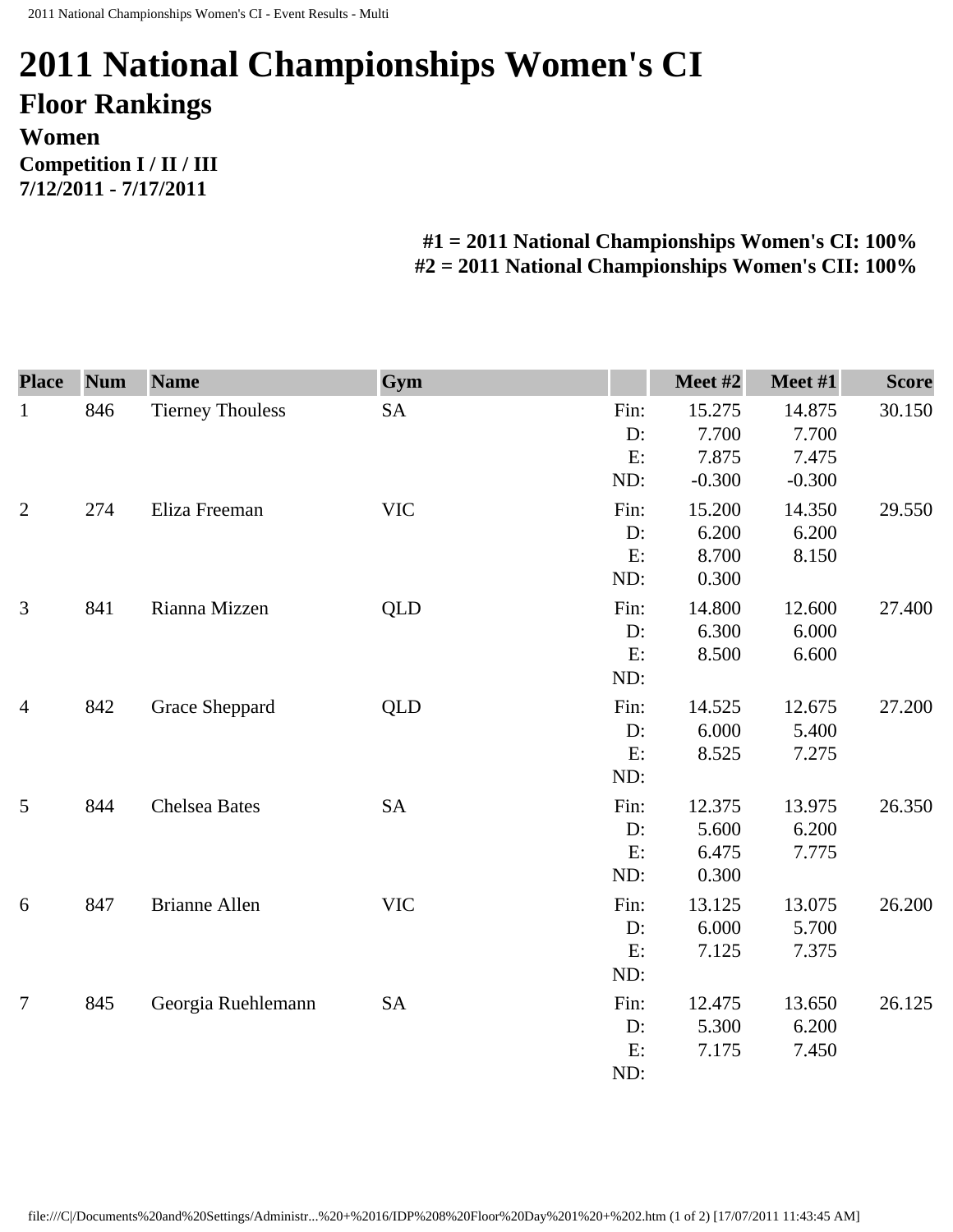## **2011 National Championships Women's CI Floor Rankings Women Competition I / II / III 7/12/2011 - 7/17/2011**

## **#1 = 2011 National Championships Women's CI: 100% #2 = 2011 National Championships Women's CII: 100%**

| <b>Place</b>   | <b>Num</b> | <b>Name</b>             | Gym        |      | Meet #2  | Meet #1  | <b>Score</b> |
|----------------|------------|-------------------------|------------|------|----------|----------|--------------|
| $\mathbf{1}$   | 846        | <b>Tierney Thouless</b> | <b>SA</b>  | Fin: | 15.275   | 14.875   | 30.150       |
|                |            |                         |            | D:   | 7.700    | 7.700    |              |
|                |            |                         |            | E:   | 7.875    | 7.475    |              |
|                |            |                         |            | ND:  | $-0.300$ | $-0.300$ |              |
| $\overline{2}$ | 274        | Eliza Freeman           | <b>VIC</b> | Fin: | 15.200   | 14.350   | 29.550       |
|                |            |                         |            | D:   | 6.200    | 6.200    |              |
|                |            |                         |            | E:   | 8.700    | 8.150    |              |
|                |            |                         |            | ND:  | 0.300    |          |              |
| 3              | 841        | Rianna Mizzen           | QLD        | Fin: | 14.800   | 12.600   | 27.400       |
|                |            |                         |            | D:   | 6.300    | 6.000    |              |
|                |            |                         |            | E:   | 8.500    | 6.600    |              |
|                |            |                         |            | ND:  |          |          |              |
| $\overline{4}$ | 842        | Grace Sheppard          | <b>QLD</b> | Fin: | 14.525   | 12.675   | 27.200       |
|                |            |                         |            | D:   | 6.000    | 5.400    |              |
|                |            |                         |            | E:   | 8.525    | 7.275    |              |
|                |            |                         |            | ND:  |          |          |              |
| 5              | 844        | <b>Chelsea Bates</b>    | <b>SA</b>  | Fin: | 12.375   | 13.975   | 26.350       |
|                |            |                         |            | D:   | 5.600    | 6.200    |              |
|                |            |                         |            | E:   | 6.475    | 7.775    |              |
|                |            |                         |            | ND:  | 0.300    |          |              |
| 6              | 847        | <b>Brianne Allen</b>    | <b>VIC</b> | Fin: | 13.125   | 13.075   | 26.200       |
|                |            |                         |            | D:   | 6.000    | 5.700    |              |
|                |            |                         |            | E:   | 7.125    | 7.375    |              |
|                |            |                         |            | ND:  |          |          |              |
| $\overline{7}$ | 845        | Georgia Ruehlemann      | <b>SA</b>  | Fin: | 12.475   | 13.650   | 26.125       |
|                |            |                         |            | D:   | 5.300    | 6.200    |              |
|                |            |                         |            | E:   | 7.175    | 7.450    |              |
|                |            |                         |            | ND:  |          |          |              |